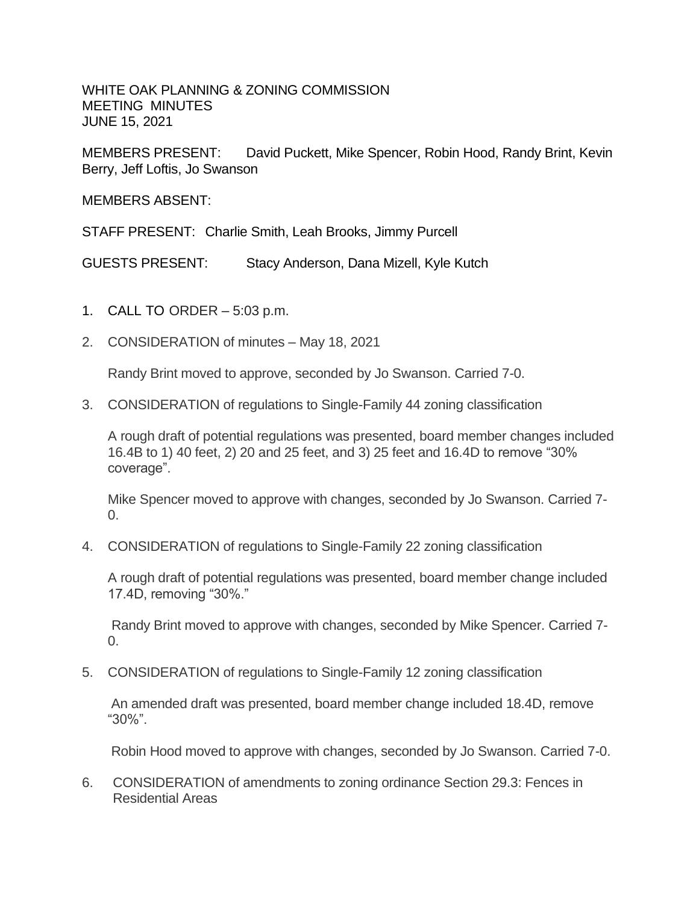WHITE OAK PLANNING & ZONING COMMISSION MEETING MINUTES JUNE 15, 2021

MEMBERS PRESENT: David Puckett, Mike Spencer, Robin Hood, Randy Brint, Kevin Berry, Jeff Loftis, Jo Swanson

MEMBERS ABSENT:

STAFF PRESENT: Charlie Smith, Leah Brooks, Jimmy Purcell

GUESTS PRESENT: Stacy Anderson, Dana Mizell, Kyle Kutch

- 1. CALL TO ORDER 5:03 p.m.
- 2. CONSIDERATION of minutes May 18, 2021

Randy Brint moved to approve, seconded by Jo Swanson. Carried 7-0.

3. CONSIDERATION of regulations to Single-Family 44 zoning classification

A rough draft of potential regulations was presented, board member changes included 16.4B to 1) 40 feet, 2) 20 and 25 feet, and 3) 25 feet and 16.4D to remove "30% coverage".

Mike Spencer moved to approve with changes, seconded by Jo Swanson. Carried 7-  $\Omega$ .

4. CONSIDERATION of regulations to Single-Family 22 zoning classification

A rough draft of potential regulations was presented, board member change included 17.4D, removing "30%."

Randy Brint moved to approve with changes, seconded by Mike Spencer. Carried 7-  $\Omega$ .

5. CONSIDERATION of regulations to Single-Family 12 zoning classification

An amended draft was presented, board member change included 18.4D, remove "30%".

Robin Hood moved to approve with changes, seconded by Jo Swanson. Carried 7-0.

6. CONSIDERATION of amendments to zoning ordinance Section 29.3: Fences in Residential Areas